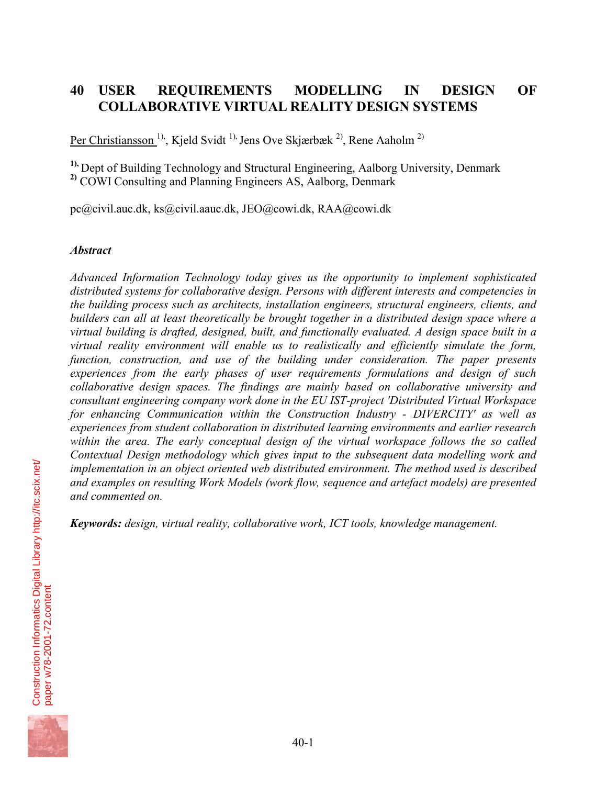# **40 USER REQUIREMENTS MODELLING IN DESIGN OF COLLABORATIVE VIRTUAL REALITY DESIGN SYSTEMS**

Per Christiansson<sup> 1)</sup>, Kjeld Svidt <sup>1),</sup> Jens Ove Skjærbæk <sup>2)</sup>, Rene Aaholm <sup>2)</sup>

<sup>1),</sup> Dept of Building Technology and Structural Engineering, Aalborg University, Denmark **2)** COWI Consulting and Planning Engineers AS, Aalborg, Denmark

pc@civil.auc.dk, ks@civil.aauc.dk, JEO@cowi.dk, RAA@cowi.dk

#### *Abstract*

*Advanced Information Technology today gives us the opportunity to implement sophisticated distributed systems for collaborative design. Persons with different interests and competencies in the building process such as architects, installation engineers, structural engineers, clients, and builders can all at least theoretically be brought together in a distributed design space where a virtual building is drafted, designed, built, and functionally evaluated. A design space built in a virtual reality environment will enable us to realistically and efficiently simulate the form,*  function, construction, and use of the building under consideration. The paper presents *experiences from the early phases of user requirements formulations and design of such collaborative design spaces. The findings are mainly based on collaborative university and consultant engineering company work done in the EU IST-project 'Distributed Virtual Workspace for enhancing Communication within the Construction Industry - DIVERCITY' as well as experiences from student collaboration in distributed learning environments and earlier research*  within the area. The early conceptual design of the virtual workspace follows the so called *Contextual Design methodology which gives input to the subsequent data modelling work and implementation in an object oriented web distributed environment. The method used is described and examples on resulting Work Models (work flow, sequence and artefact models) are presented and commented on.* 

*Keywords: design, virtual reality, collaborative work, ICT tools, knowledge management.* 

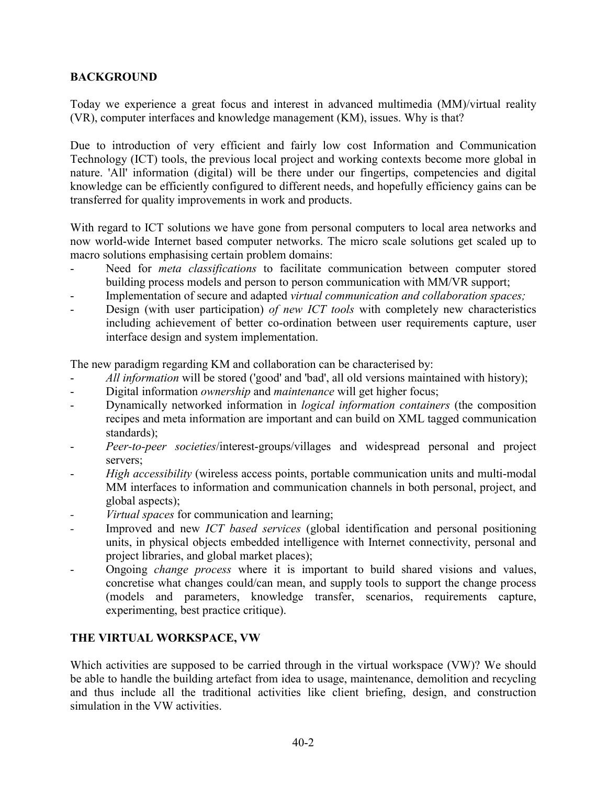### **BACKGROUND**

Today we experience a great focus and interest in advanced multimedia (MM)/virtual reality (VR), computer interfaces and knowledge management (KM), issues. Why is that?

Due to introduction of very efficient and fairly low cost Information and Communication Technology (ICT) tools, the previous local project and working contexts become more global in nature. 'All' information (digital) will be there under our fingertips, competencies and digital knowledge can be efficiently configured to different needs, and hopefully efficiency gains can be transferred for quality improvements in work and products.

With regard to ICT solutions we have gone from personal computers to local area networks and now world-wide Internet based computer networks. The micro scale solutions get scaled up to macro solutions emphasising certain problem domains:

- Need for *meta classifications* to facilitate communication between computer stored building process models and person to person communication with MM/VR support;
- Implementation of secure and adapted *virtual communication and collaboration spaces;*
- Design (with user participation) *of new ICT tools* with completely new characteristics including achievement of better co-ordination between user requirements capture, user interface design and system implementation.

The new paradigm regarding KM and collaboration can be characterised by:

- *All information* will be stored ('good' and 'bad', all old versions maintained with history);
- Digital information *ownership* and *maintenance* will get higher focus;
- Dynamically networked information in *logical information containers* (the composition recipes and meta information are important and can build on XML tagged communication standards);
- *Peer-to-peer societies*/interest-groups/villages and widespread personal and project servers;
- High accessibility (wireless access points, portable communication units and multi-modal MM interfaces to information and communication channels in both personal, project, and global aspects);
- *Virtual spaces* for communication and learning;
- Improved and new *ICT based services* (global identification and personal positioning units, in physical objects embedded intelligence with Internet connectivity, personal and project libraries, and global market places);
- Ongoing *change process* where it is important to build shared visions and values, concretise what changes could/can mean, and supply tools to support the change process (models and parameters, knowledge transfer, scenarios, requirements capture, experimenting, best practice critique).

#### **THE VIRTUAL WORKSPACE, VW**

Which activities are supposed to be carried through in the virtual workspace (VW)? We should be able to handle the building artefact from idea to usage, maintenance, demolition and recycling and thus include all the traditional activities like client briefing, design, and construction simulation in the VW activities.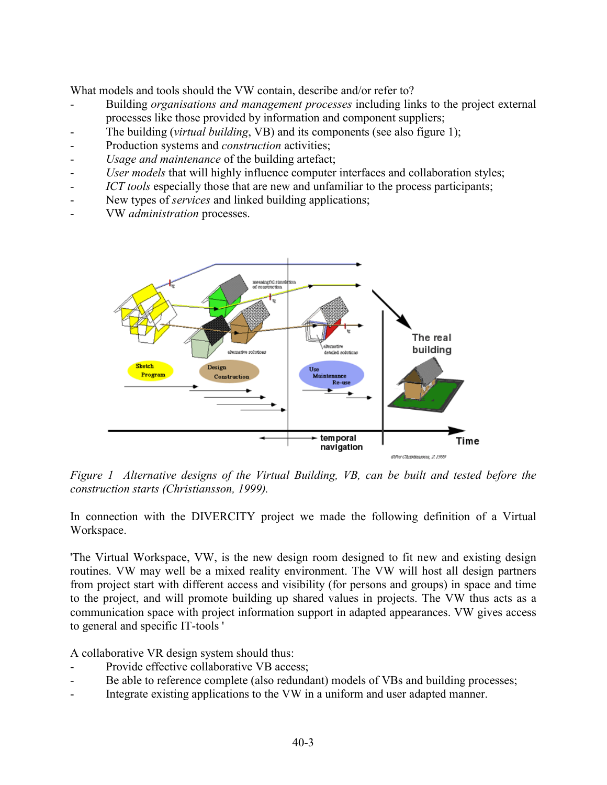What models and tools should the VW contain, describe and/or refer to?

- Building *organisations and management processes* including links to the project external processes like those provided by information and component suppliers;
- The building (*virtual building*, VB) and its components (see also figure 1);
- Production systems and *construction* activities;
- Usage and maintenance of the building artefact;
- *User models* that will highly influence computer interfaces and collaboration styles;
- *ICT tools* especially those that are new and unfamiliar to the process participants;
- New types of *services* and linked building applications;
- VW *administration* processes.



*Figure 1 Alternative designs of the Virtual Building, VB, can be built and tested before the construction starts (Christiansson, 1999).* 

In connection with the DIVERCITY project we made the following definition of a Virtual Workspace.

'The Virtual Workspace, VW, is the new design room designed to fit new and existing design routines. VW may well be a mixed reality environment. The VW will host all design partners from project start with different access and visibility (for persons and groups) in space and time to the project, and will promote building up shared values in projects. The VW thus acts as a communication space with project information support in adapted appearances. VW gives access to general and specific IT-tools '

A collaborative VR design system should thus:

- Provide effective collaborative VB access:
- Be able to reference complete (also redundant) models of VBs and building processes;
- Integrate existing applications to the VW in a uniform and user adapted manner.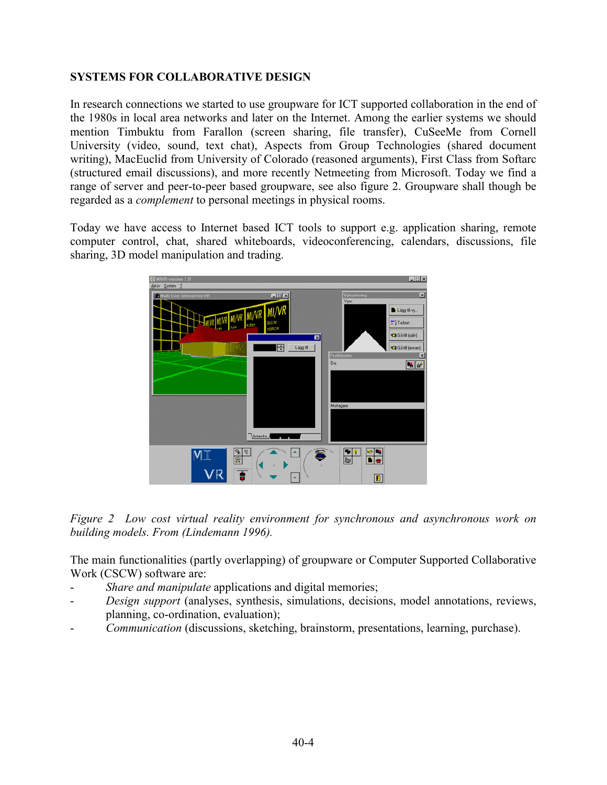### **SYSTEMS FOR COLLABORATIVE DESIGN**

In research connections we started to use groupware for ICT supported collaboration in the end of the 1980s in local area networks and later on the Internet. Among the earlier systems we should mention Timbuktu from Farallon (screen sharing, file transfer), CuSeeMe from Cornell University (video, sound, text chat), Aspects from Group Technologies (shared document writing), MacEuclid from University of Colorado (reasoned arguments), First Class from Softarc (structured email discussions), and more recently Netmeeting from Microsoft. Today we find a range of server and peer-to-peer based groupware, see also figure 2. Groupware shall though be regarded as a *complement* to personal meetings in physical rooms.

Today we have access to Internet based ICT tools to support e.g. application sharing, remote computer control, chat, shared whiteboards, videoconferencing, calendars, discussions, file sharing, 3D model manipulation and trading.



*Figure 2 Low cost virtual reality environment for synchronous and asynchronous work on building models. From (Lindemann 1996).* 

The main functionalities (partly overlapping) of groupware or Computer Supported Collaborative Work (CSCW) software are:

- *Share and manipulate* applications and digital memories;
- *Design support* (analyses, synthesis, simulations, decisions, model annotations, reviews, planning, co-ordination, evaluation);
- *Communication* (discussions, sketching, brainstorm, presentations, learning, purchase).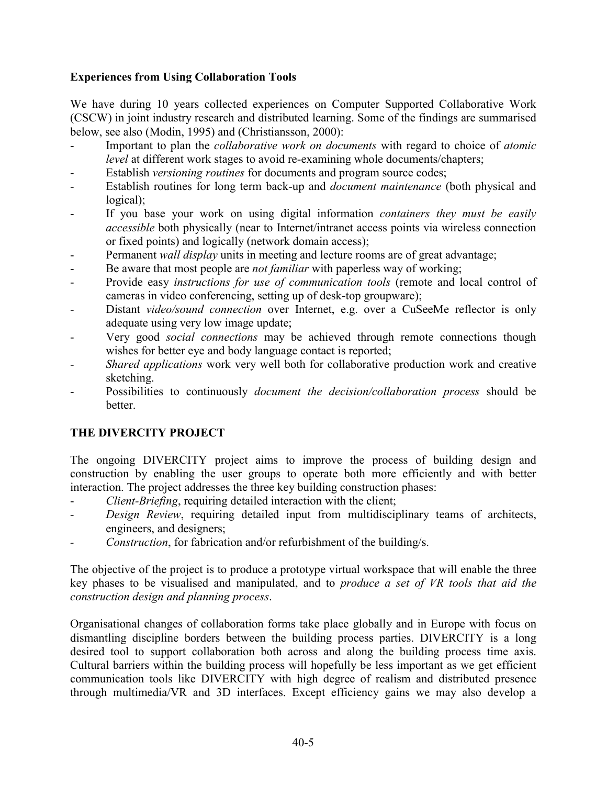### **Experiences from Using Collaboration Tools**

We have during 10 years collected experiences on Computer Supported Collaborative Work (CSCW) in joint industry research and distributed learning. Some of the findings are summarised below, see also (Modin, 1995) and (Christiansson, 2000):

- Important to plan the *collaborative work on documents* with regard to choice of *atomic level* at different work stages to avoid re-examining whole documents/chapters;
- Establish *versioning routines* for documents and program source codes;
- Establish routines for long term back-up and *document maintenance* (both physical and logical);
- If you base your work on using digital information *containers they must be easily accessible* both physically (near to Internet/intranet access points via wireless connection or fixed points) and logically (network domain access);
- Permanent *wall display* units in meeting and lecture rooms are of great advantage;
- Be aware that most people are *not familiar* with paperless way of working;
- Provide easy *instructions for use of communication tools* (remote and local control of cameras in video conferencing, setting up of desk-top groupware);
- Distant *video/sound connection* over Internet, e.g. over a CuSeeMe reflector is only adequate using very low image update;
- Very good *social connections* may be achieved through remote connections though wishes for better eye and body language contact is reported;
- *Shared applications* work very well both for collaborative production work and creative sketching.
- Possibilities to continuously *document the decision/collaboration process* should be better.

## **THE DIVERCITY PROJECT**

The ongoing DIVERCITY project aims to improve the process of building design and construction by enabling the user groups to operate both more efficiently and with better interaction. The project addresses the three key building construction phases:

- *Client-Briefing*, requiring detailed interaction with the client;
- *Design Review*, requiring detailed input from multidisciplinary teams of architects, engineers, and designers;
- *Construction*, for fabrication and/or refurbishment of the building/s.

The objective of the project is to produce a prototype virtual workspace that will enable the three key phases to be visualised and manipulated, and to *produce a set of VR tools that aid the construction design and planning process*.

Organisational changes of collaboration forms take place globally and in Europe with focus on dismantling discipline borders between the building process parties. DIVERCITY is a long desired tool to support collaboration both across and along the building process time axis. Cultural barriers within the building process will hopefully be less important as we get efficient communication tools like DIVERCITY with high degree of realism and distributed presence through multimedia/VR and 3D interfaces. Except efficiency gains we may also develop a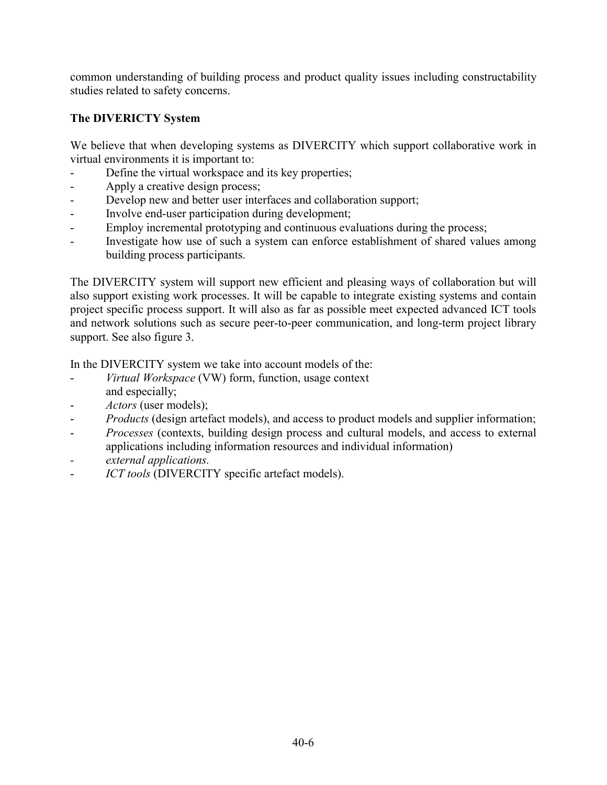common understanding of building process and product quality issues including constructability studies related to safety concerns.

## **The DIVERICTY System**

We believe that when developing systems as DIVERCITY which support collaborative work in virtual environments it is important to:

- Define the virtual workspace and its key properties;
- Apply a creative design process;
- Develop new and better user interfaces and collaboration support;
- Involve end-user participation during development;
- Employ incremental prototyping and continuous evaluations during the process;
- Investigate how use of such a system can enforce establishment of shared values among building process participants.

The DIVERCITY system will support new efficient and pleasing ways of collaboration but will also support existing work processes. It will be capable to integrate existing systems and contain project specific process support. It will also as far as possible meet expected advanced ICT tools and network solutions such as secure peer-to-peer communication, and long-term project library support. See also figure 3.

In the DIVERCITY system we take into account models of the:

- *Virtual Workspace* (VW) form, function, usage context and especially;
- Actors (user models);
- *Products* (design artefact models), and access to product models and supplier information;
- *Processes* (contexts, building design process and cultural models, and access to external applications including information resources and individual information)
- *external applications.*
- *ICT tools* (DIVERCITY specific artefact models).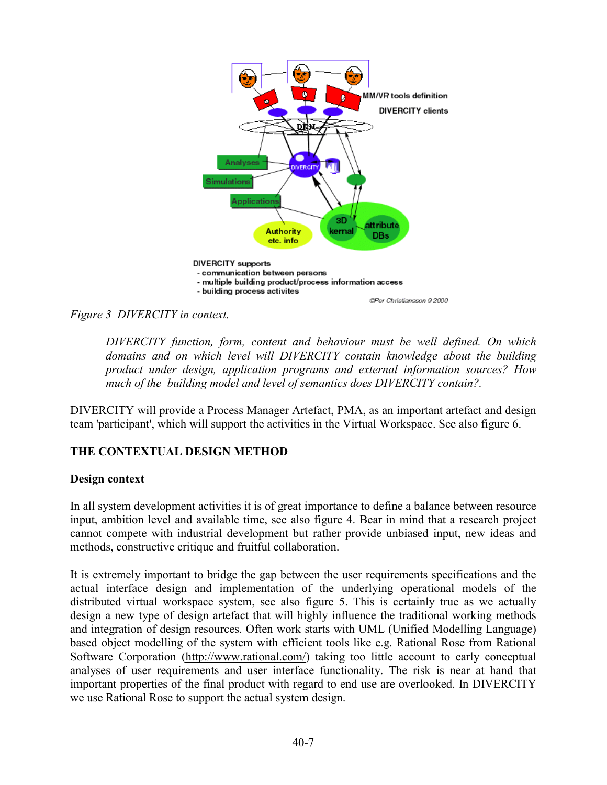

*Figure 3 DIVERCITY in context.* 

*DIVERCITY function, form, content and behaviour must be well defined. On which domains and on which level will DIVERCITY contain knowledge about the building product under design, application programs and external information sources? How much of the building model and level of semantics does DIVERCITY contain?.* 

DIVERCITY will provide a Process Manager Artefact, PMA, as an important artefact and design team 'participant', which will support the activities in the Virtual Workspace. See also figure 6.

## **THE CONTEXTUAL DESIGN METHOD**

#### **Design context**

In all system development activities it is of great importance to define a balance between resource input, ambition level and available time, see also figure 4. Bear in mind that a research project cannot compete with industrial development but rather provide unbiased input, new ideas and methods, constructive critique and fruitful collaboration.

It is extremely important to bridge the gap between the user requirements specifications and the actual interface design and implementation of the underlying operational models of the distributed virtual workspace system, see also figure 5. This is certainly true as we actually design a new type of design artefact that will highly influence the traditional working methods and integration of design resources. Often work starts with UML (Unified Modelling Language) based object modelling of the system with efficient tools like e.g. Rational Rose from Rational Software Corporation (http://www.rational.com/) taking too little account to early conceptual analyses of user requirements and user interface functionality. The risk is near at hand that important properties of the final product with regard to end use are overlooked. In DIVERCITY we use Rational Rose to support the actual system design.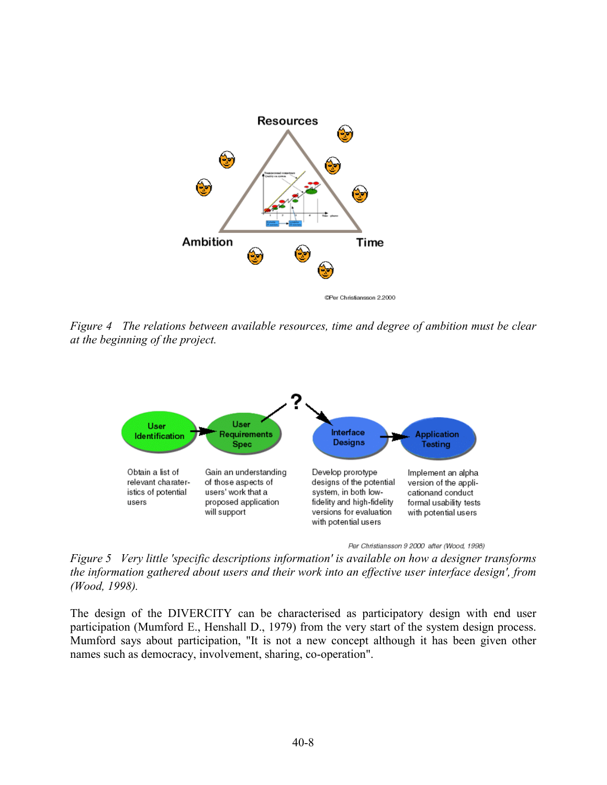

CPer Christiansson 2.2000

*Figure 4 The relations between available resources, time and degree of ambition must be clear at the beginning of the project.* 



Per Christiansson 9 2000 after (Wood, 1998)

*Figure 5 Very little 'specific descriptions information' is available on how a designer transforms the information gathered about users and their work into an effective user interface design', from (Wood, 1998).* 

The design of the DIVERCITY can be characterised as participatory design with end user participation (Mumford E., Henshall D., 1979) from the very start of the system design process. Mumford says about participation, "It is not a new concept although it has been given other names such as democracy, involvement, sharing, co-operation".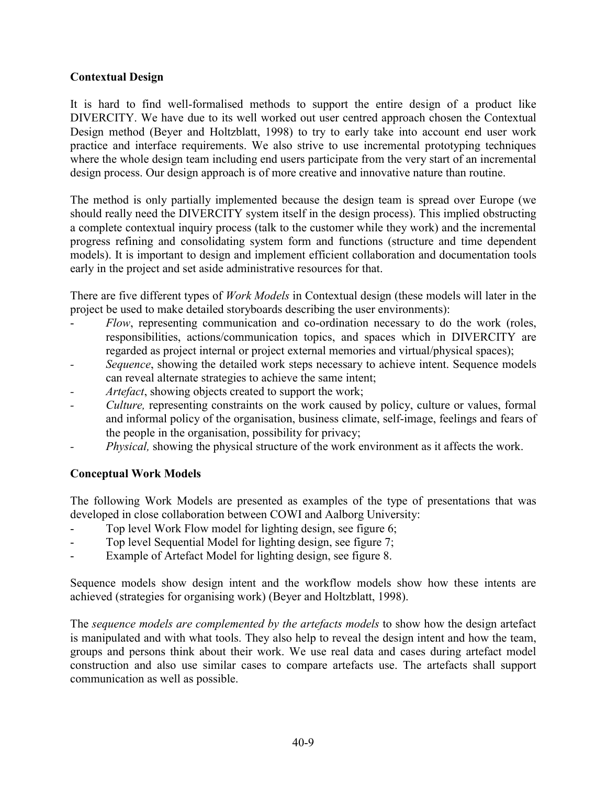#### **Contextual Design**

It is hard to find well-formalised methods to support the entire design of a product like DIVERCITY. We have due to its well worked out user centred approach chosen the Contextual Design method (Beyer and Holtzblatt, 1998) to try to early take into account end user work practice and interface requirements. We also strive to use incremental prototyping techniques where the whole design team including end users participate from the very start of an incremental design process. Our design approach is of more creative and innovative nature than routine.

The method is only partially implemented because the design team is spread over Europe (we should really need the DIVERCITY system itself in the design process). This implied obstructing a complete contextual inquiry process (talk to the customer while they work) and the incremental progress refining and consolidating system form and functions (structure and time dependent models). It is important to design and implement efficient collaboration and documentation tools early in the project and set aside administrative resources for that.

There are five different types of *Work Models* in Contextual design (these models will later in the project be used to make detailed storyboards describing the user environments):

- *Flow*, representing communication and co-ordination necessary to do the work (roles, responsibilities, actions/communication topics, and spaces which in DIVERCITY are regarded as project internal or project external memories and virtual/physical spaces);
- *Sequence*, showing the detailed work steps necessary to achieve intent. Sequence models can reveal alternate strategies to achieve the same intent;
- *Artefact*, showing objects created to support the work;
- *Culture*, representing constraints on the work caused by policy, culture or values, formal and informal policy of the organisation, business climate, self-image, feelings and fears of the people in the organisation, possibility for privacy;
- *Physical,* showing the physical structure of the work environment as it affects the work.

#### **Conceptual Work Models**

The following Work Models are presented as examples of the type of presentations that was developed in close collaboration between COWI and Aalborg University:

- Top level Work Flow model for lighting design, see figure 6;
- Top level Sequential Model for lighting design, see figure 7;
- Example of Artefact Model for lighting design, see figure 8.

Sequence models show design intent and the workflow models show how these intents are achieved (strategies for organising work) (Beyer and Holtzblatt, 1998).

The *sequence models are complemented by the artefacts models* to show how the design artefact is manipulated and with what tools. They also help to reveal the design intent and how the team, groups and persons think about their work. We use real data and cases during artefact model construction and also use similar cases to compare artefacts use. The artefacts shall support communication as well as possible.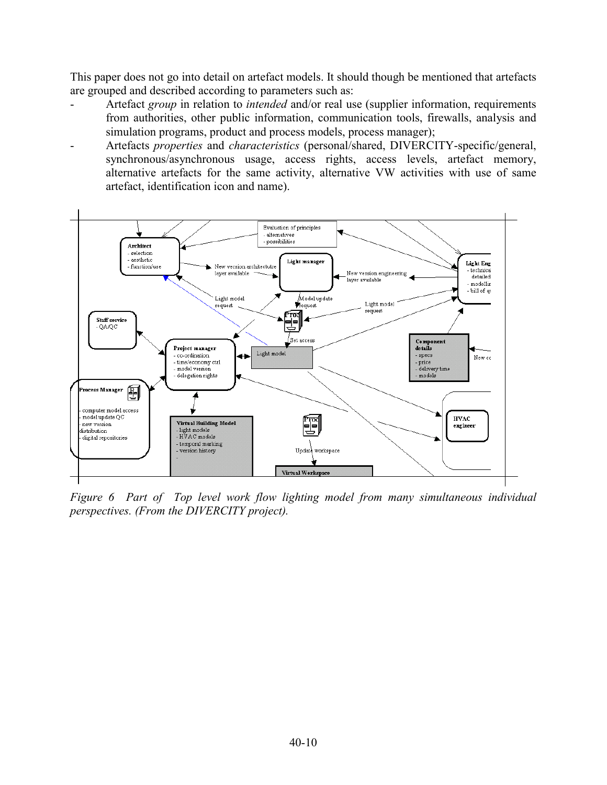This paper does not go into detail on artefact models. It should though be mentioned that artefacts are grouped and described according to parameters such as:

- Artefact *group* in relation to *intended* and/or real use (supplier information, requirements from authorities, other public information, communication tools, firewalls, analysis and simulation programs, product and process models, process manager);
- Artefacts *properties* and *characteristics* (personal/shared, DIVERCITY-specific/general, synchronous/asynchronous usage, access rights, access levels, artefact memory, alternative artefacts for the same activity, alternative VW activities with use of same artefact, identification icon and name).



*Figure 6 Part of Top level work flow lighting model from many simultaneous individual perspectives. (From the DIVERCITY project).*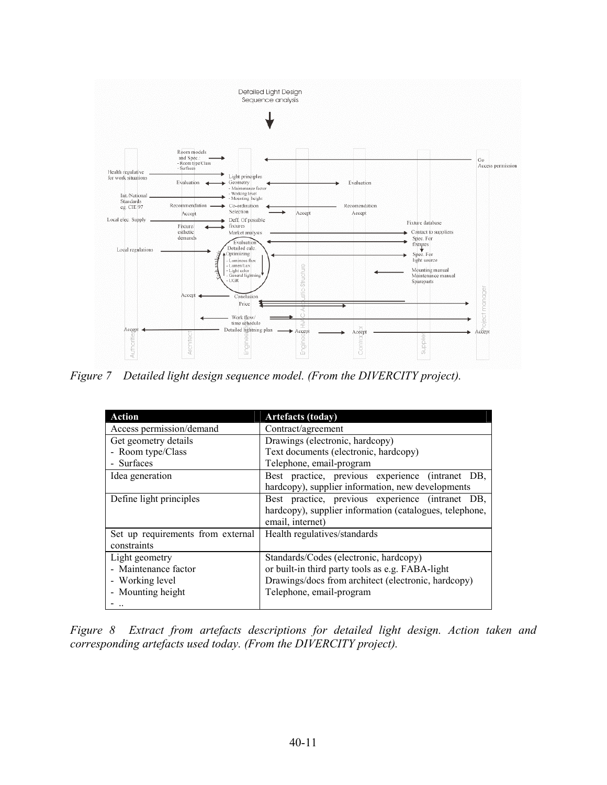

*Figure 7 Detailed light design sequence model. (From the DIVERCITY project).* 

| <b>Action</b>                     | <b>Artefacts (today)</b>                                |
|-----------------------------------|---------------------------------------------------------|
| Access permission/demand          | Contract/agreement                                      |
| Get geometry details              | Drawings (electronic, hardcopy)                         |
| - Room type/Class                 | Text documents (electronic, hardcopy)                   |
| - Surfaces                        | Telephone, email-program                                |
| Idea generation                   | Best practice, previous experience (intranet DB,        |
|                                   | hardcopy), supplier information, new developments       |
| Define light principles           | Best practice, previous experience (intranet DB,        |
|                                   | hardcopy), supplier information (catalogues, telephone, |
|                                   | email, internet)                                        |
| Set up requirements from external | Health regulatives/standards                            |
| constraints                       |                                                         |
| Light geometry                    | Standards/Codes (electronic, hardcopy)                  |
| - Maintenance factor              | or built-in third party tools as e.g. FABA-light        |
| - Working level                   | Drawings/docs from architect (electronic, hardcopy)     |
| - Mounting height                 | Telephone, email-program                                |
|                                   |                                                         |

*Figure 8 Extract from artefacts descriptions for detailed light design. Action taken and corresponding artefacts used today. (From the DIVERCITY project).*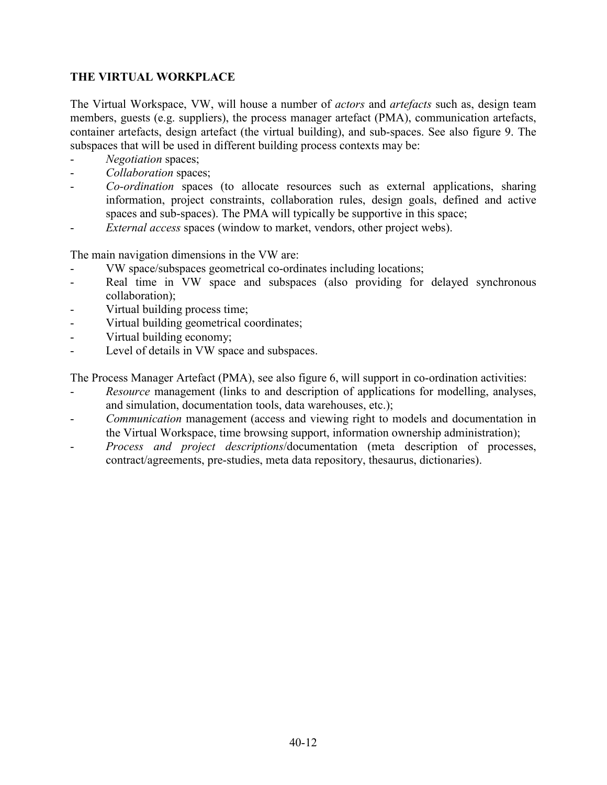### **THE VIRTUAL WORKPLACE**

The Virtual Workspace, VW, will house a number of *actors* and *artefacts* such as, design team members, guests (e.g. suppliers), the process manager artefact (PMA), communication artefacts, container artefacts, design artefact (the virtual building), and sub-spaces. See also figure 9. The subspaces that will be used in different building process contexts may be:

- *Negotiation* spaces;
- Collaboration spaces;
- *Co-ordination* spaces (to allocate resources such as external applications, sharing information, project constraints, collaboration rules, design goals, defined and active spaces and sub-spaces). The PMA will typically be supportive in this space;
- *External access* spaces (window to market, vendors, other project webs).

The main navigation dimensions in the VW are:

- VW space/subspaces geometrical co-ordinates including locations;
- Real time in VW space and subspaces (also providing for delayed synchronous collaboration);
- Virtual building process time;
- Virtual building geometrical coordinates;
- Virtual building economy;
- Level of details in VW space and subspaces.

The Process Manager Artefact (PMA), see also figure 6, will support in co-ordination activities:

- *Resource* management (links to and description of applications for modelling, analyses, and simulation, documentation tools, data warehouses, etc.);
- *Communication* management (access and viewing right to models and documentation in the Virtual Workspace, time browsing support, information ownership administration);
- *Process and project descriptions*/documentation (meta description of processes, contract/agreements, pre-studies, meta data repository, thesaurus, dictionaries).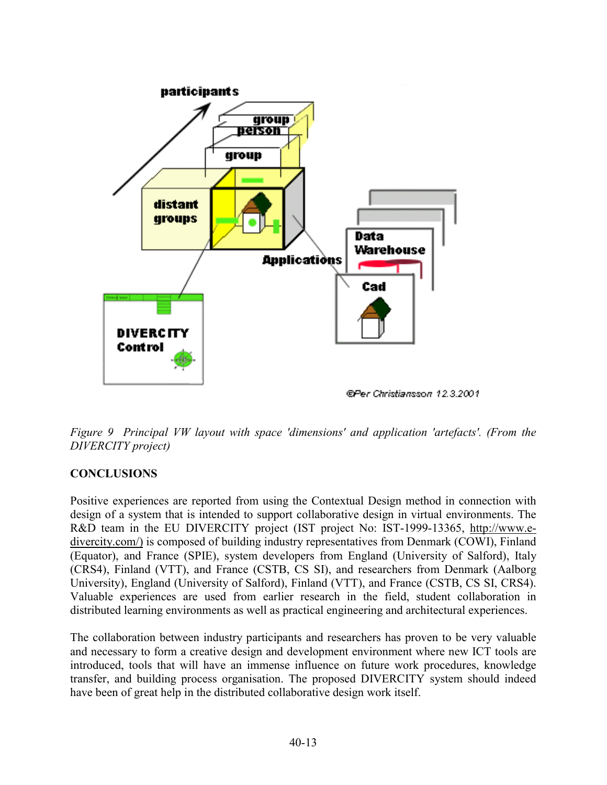

@Per Christiansson 12.3.2001

*Figure 9 Principal VW layout with space 'dimensions' and application 'artefacts'. (From the DIVERCITY project)* 

# **CONCLUSIONS**

Positive experiences are reported from using the Contextual Design method in connection with design of a system that is intended to support collaborative design in virtual environments. The R&D team in the EU DIVERCITY project (IST project No: IST-1999-13365, http://www.edivercity.com/) is composed of building industry representatives from Denmark (COWI), Finland (Equator), and France (SPIE), system developers from England (University of Salford), Italy (CRS4), Finland (VTT), and France (CSTB, CS SI), and researchers from Denmark (Aalborg University), England (University of Salford), Finland (VTT), and France (CSTB, CS SI, CRS4). Valuable experiences are used from earlier research in the field, student collaboration in distributed learning environments as well as practical engineering and architectural experiences.

The collaboration between industry participants and researchers has proven to be very valuable and necessary to form a creative design and development environment where new ICT tools are introduced, tools that will have an immense influence on future work procedures, knowledge transfer, and building process organisation. The proposed DIVERCITY system should indeed have been of great help in the distributed collaborative design work itself.